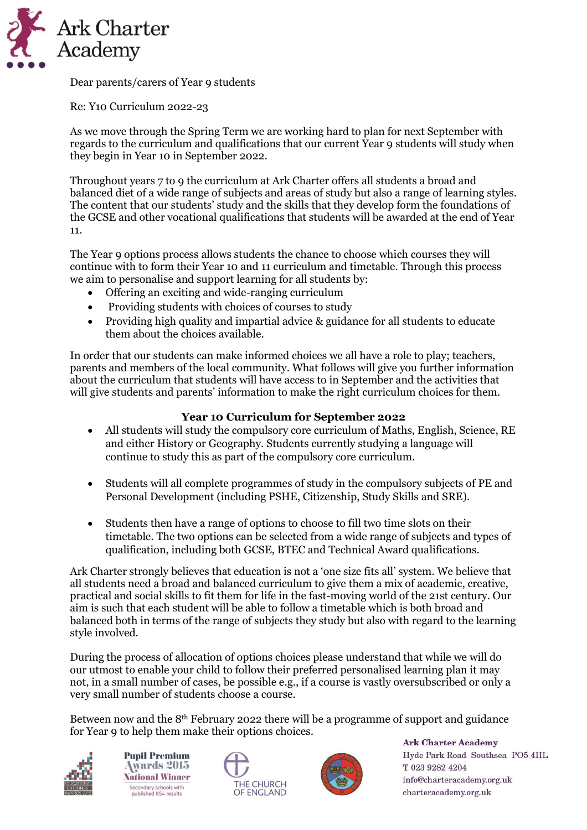

Dear parents/carers of Year 9 students

Re: Y10 Curriculum 2022-23

As we move through the Spring Term we are working hard to plan for next September with regards to the curriculum and qualifications that our current Year 9 students will study when they begin in Year 10 in September 2022.

Throughout years 7 to 9 the curriculum at Ark Charter offers all students a broad and balanced diet of a wide range of subjects and areas of study but also a range of learning styles. The content that our students' study and the skills that they develop form the foundations of the GCSE and other vocational qualifications that students will be awarded at the end of Year 11.

The Year 9 options process allows students the chance to choose which courses they will continue with to form their Year 10 and 11 curriculum and timetable. Through this process we aim to personalise and support learning for all students by:

- Offering an exciting and wide-ranging curriculum
- Providing students with choices of courses to study
- Providing high quality and impartial advice & guidance for all students to educate them about the choices available.

In order that our students can make informed choices we all have a role to play; teachers, parents and members of the local community. What follows will give you further information about the curriculum that students will have access to in September and the activities that will give students and parents' information to make the right curriculum choices for them.

## **Year 10 Curriculum for September 2022**

- All students will study the compulsory core curriculum of Maths, English, Science, RE and either History or Geography. Students currently studying a language will continue to study this as part of the compulsory core curriculum.
- Students will all complete programmes of study in the compulsory subjects of PE and Personal Development (including PSHE, Citizenship, Study Skills and SRE).
- Students then have a range of options to choose to fill two time slots on their timetable. The two options can be selected from a wide range of subjects and types of qualification, including both GCSE, BTEC and Technical Award qualifications.

Ark Charter strongly believes that education is not a 'one size fits all' system. We believe that all students need a broad and balanced curriculum to give them a mix of academic, creative, practical and social skills to fit them for life in the fast-moving world of the 21st century. Our aim is such that each student will be able to follow a timetable which is both broad and balanced both in terms of the range of subjects they study but also with regard to the learning style involved.

During the process of allocation of options choices please understand that while we will do our utmost to enable your child to follow their preferred personalised learning plan it may not, in a small number of cases, be possible e.g., if a course is vastly oversubscribed or only a very small number of students choose a course.

Between now and the 8th February 2022 there will be a programme of support and guidance for Year 9 to help them make their options choices.



**Pupil Premium Awards 2015 National Winner** Secondary schools with<br>published KS4 results





**Ark Charter Academy** Hyde Park Road Southsea PO5 4HL T 023 9282 4204 info@charteracademy.org.uk charteracademy.org.uk